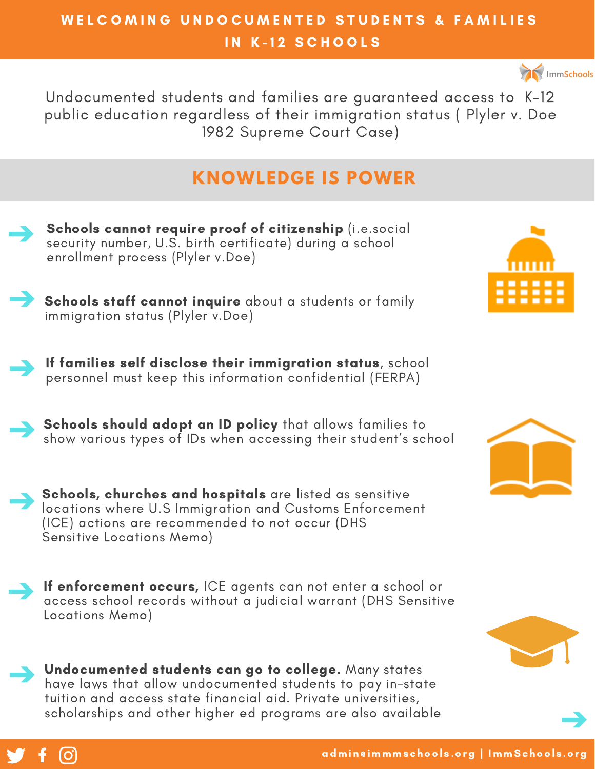## WELCOMING UNDOCUMENTED STUDENTS & FAMILIES IN K-12 SCHOOLS



Undocumented students and families are guaranteed access to K-12 public education regardless of their immigration status ( Plyler v. Doe 1982 Supreme Court Case)

# **KNOWLEDGE IS POWER**





If families self disclose their immigration status, school personnel must keep this information confidential (FERPA)



Schools should adopt an ID policy that allows families to show various types of IDs when accessing their student's school



If enforcement occurs, ICE agents can not enter a school or access school records without a judicial warrant (DHS Sensitive Locations Memo)

Undocumented students can go to college. Many states have laws that allow undocumented students to pay in-state tuition and access state financial aid. Private universities, scholarships and other higher ed programs are also available